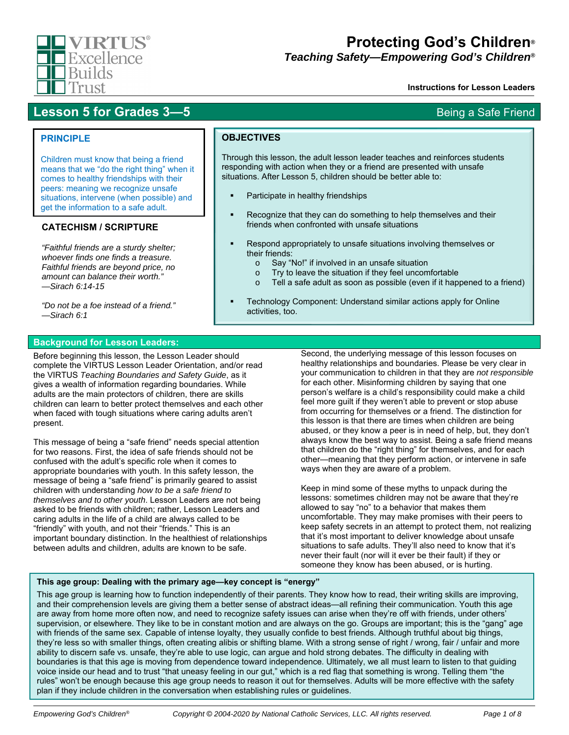

# **Protecting God's Children***®*

*Teaching Safety—Empowering God's Children®*

Through this lesson, the adult lesson leader teaches and reinforces students responding with action when they or a friend are presented with unsafe

Recognize that they can do something to help themselves and their

Respond appropriately to unsafe situations involving themselves or

Technology Component: Understand similar actions apply for Online

o Tell a safe adult as soon as possible (even if it happened to a friend)

situations. After Lesson 5, children should be better able to:

friends when confronted with unsafe situations

o Say "No!" if involved in an unsafe situation o Try to leave the situation if they feel uncomfortable

Participate in healthy friendships

#### **Instructions for Lesson Leaders**

# **Lesson 5 for Grades 3—5** Being a Safe Friend

## **PRINCIPLE**

Children must know that being a friend means that we "do the right thing" when it comes to healthy friendships with their peers: meaning we recognize unsafe situations, intervene (when possible) and get the information to a safe adult.

# **CATECHISM / SCRIPTURE**

*"Faithful friends are a sturdy shelter; whoever finds one finds a treasure. Faithful friends are beyond price, no amount can balance their worth." —Sirach 6:14-15* 

*"Do not be a foe instead of a friend." —Sirach 6:1* 

#### **Background for Lesson Leaders:**

Before beginning this lesson, the Lesson Leader should complete the VIRTUS Lesson Leader Orientation, and/or read the VIRTUS *Teaching Boundaries and Safety Guide*, as it gives a wealth of information regarding boundaries. While adults are the main protectors of children, there are skills children can learn to better protect themselves and each other when faced with tough situations where caring adults aren't present.

This message of being a "safe friend" needs special attention for two reasons. First, the idea of safe friends should not be confused with the adult's specific role when it comes to appropriate boundaries with youth. In this safety lesson, the message of being a "safe friend" is primarily geared to assist children with understanding *how to be a safe friend to themselves and to other youth*. Lesson Leaders are not being asked to be friends with children; rather, Lesson Leaders and caring adults in the life of a child are always called to be "friendly" with youth, and not their "friends." This is an important boundary distinction. In the healthiest of relationships between adults and children, adults are known to be safe.

Second, the underlying message of this lesson focuses on healthy relationships and boundaries. Please be very clear in your communication to children in that they are *not responsible* for each other. Misinforming children by saying that one person's welfare is a child's responsibility could make a child feel more guilt if they weren't able to prevent or stop abuse from occurring for themselves or a friend. The distinction for this lesson is that there are times when children are being abused, or they know a peer is in need of help, but, they don't always know the best way to assist. Being a safe friend means that children do the "right thing" for themselves, and for each other—meaning that they perform action, or intervene in safe ways when they are aware of a problem.

Keep in mind some of these myths to unpack during the lessons: sometimes children may not be aware that they're allowed to say "no" to a behavior that makes them uncomfortable. They may make promises with their peers to keep safety secrets in an attempt to protect them, not realizing that it's most important to deliver knowledge about unsafe situations to safe adults. They'll also need to know that it's never their fault (nor will it ever be their fault) if they or someone they know has been abused, or is hurting.

### **This age group: Dealing with the primary age—key concept is "energy"**

This age group is learning how to function independently of their parents. They know how to read, their writing skills are improving, and their comprehension levels are giving them a better sense of abstract ideas—all refining their communication. Youth this age are away from home more often now, and need to recognize safety issues can arise when they're off with friends, under others' supervision, or elsewhere. They like to be in constant motion and are always on the go. Groups are important; this is the "gang" age with friends of the same sex. Capable of intense loyalty, they usually confide to best friends. Although truthful about big things, they're less so with smaller things, often creating alibis or shifting blame. With a strong sense of right / wrong, fair / unfair and more ability to discern safe vs. unsafe, they're able to use logic, can argue and hold strong debates. The difficulty in dealing with boundaries is that this age is moving from dependence toward independence. Ultimately, we all must learn to listen to that guiding voice inside our head and to trust "that uneasy feeling in our gut," which is a red flag that something is wrong. Telling them "the rules" won't be enough because this age group needs to reason it out for themselves. Adults will be more effective with the safety plan if they include children in the conversation when establishing rules or guidelines.

**OBJECTIVES**

their friends:

activities, too.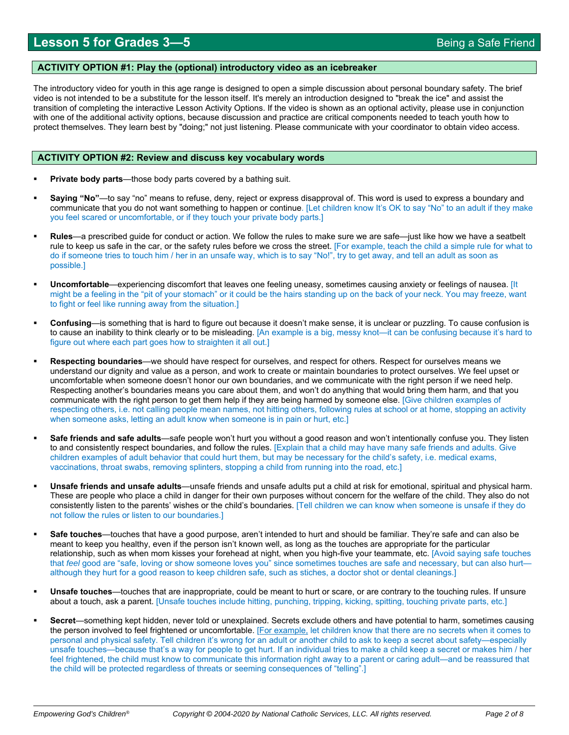#### **ACTIVITY OPTION #1: Play the (optional) introductory video as an icebreaker**

The introductory video for youth in this age range is designed to open a simple discussion about personal boundary safety. The brief video is not intended to be a substitute for the lesson itself. It's merely an introduction designed to "break the ice" and assist the transition of completing the interactive Lesson Activity Options. If the video is shown as an optional activity, please use in conjunction with one of the additional activity options, because discussion and practice are critical components needed to teach youth how to protect themselves. They learn best by "doing;" not just listening. Please communicate with your coordinator to obtain video access.

#### **ACTIVITY OPTION #2: Review and discuss key vocabulary words**

- **Private body parts**—those body parts covered by a bathing suit.
- **Saying "No"**—to say "no" means to refuse, deny, reject or express disapproval of. This word is used to express a boundary and communicate that you do not want something to happen or continue. [Let children know It's OK to say "No" to an adult if they make you feel scared or uncomfortable, or if they touch your private body parts.]
- **Rules**—a prescribed guide for conduct or action. We follow the rules to make sure we are safe—just like how we have a seatbelt rule to keep us safe in the car, or the safety rules before we cross the street. [For example, teach the child a simple rule for what to do if someone tries to touch him / her in an unsafe way, which is to say "No!", try to get away, and tell an adult as soon as possible.]
- **Uncomfortable**—experiencing discomfort that leaves one feeling uneasy, sometimes causing anxiety or feelings of nausea. [It might be a feeling in the "pit of your stomach" or it could be the hairs standing up on the back of your neck. You may freeze, want to fight or feel like running away from the situation.]
- **Confusing**—is something that is hard to figure out because it doesn't make sense, it is unclear or puzzling. To cause confusion is to cause an inability to think clearly or to be misleading. [An example is a big, messy knot—it can be confusing because it's hard to figure out where each part goes how to straighten it all out.]
- **Respecting boundaries**—we should have respect for ourselves, and respect for others. Respect for ourselves means we understand our dignity and value as a person, and work to create or maintain boundaries to protect ourselves. We feel upset or uncomfortable when someone doesn't honor our own boundaries, and we communicate with the right person if we need help. Respecting another's boundaries means you care about them, and won't do anything that would bring them harm, and that you communicate with the right person to get them help if they are being harmed by someone else. [Give children examples of respecting others, i.e. not calling people mean names, not hitting others, following rules at school or at home, stopping an activity when someone asks, letting an adult know when someone is in pain or hurt, etc.]
- **Safe friends and safe adults**—safe people won't hurt you without a good reason and won't intentionally confuse you. They listen to and consistently respect boundaries, and follow the rules. [Explain that a child may have many safe friends and adults. Give children examples of adult behavior that could hurt them, but may be necessary for the child's safety, i.e. medical exams, vaccinations, throat swabs, removing splinters, stopping a child from running into the road, etc.]
- **Unsafe friends and unsafe adults**—unsafe friends and unsafe adults put a child at risk for emotional, spiritual and physical harm. These are people who place a child in danger for their own purposes without concern for the welfare of the child. They also do not consistently listen to the parents' wishes or the child's boundaries. [Tell children we can know when someone is unsafe if they do not follow the rules or listen to our boundaries.]
- **Safe touches**—touches that have a good purpose, aren't intended to hurt and should be familiar. They're safe and can also be meant to keep you healthy, even if the person isn't known well, as long as the touches are appropriate for the particular relationship, such as when mom kisses your forehead at night, when you high-five your teammate, etc. [Avoid saying safe touches that *feel* good are "safe, loving or show someone loves you" since sometimes touches are safe and necessary, but can also hurt although they hurt for a good reason to keep children safe, such as stiches, a doctor shot or dental cleanings.]
- **Unsafe touches**—touches that are inappropriate, could be meant to hurt or scare, or are contrary to the touching rules. If unsure about a touch, ask a parent. [Unsafe touches include hitting, punching, tripping, kicking, spitting, touching private parts, etc.]
- **Secret**—something kept hidden, never told or unexplained. Secrets exclude others and have potential to harm, sometimes causing the person involved to feel frightened or uncomfortable. [For example, let children know that there are no secrets when it comes to personal and physical safety. Tell children it's wrong for an adult or another child to ask to keep a secret about safety—especially unsafe touches—because that's a way for people to get hurt. If an individual tries to make a child keep a secret or makes him / her feel frightened, the child must know to communicate this information right away to a parent or caring adult—and be reassured that the child will be protected regardless of threats or seeming consequences of "telling".]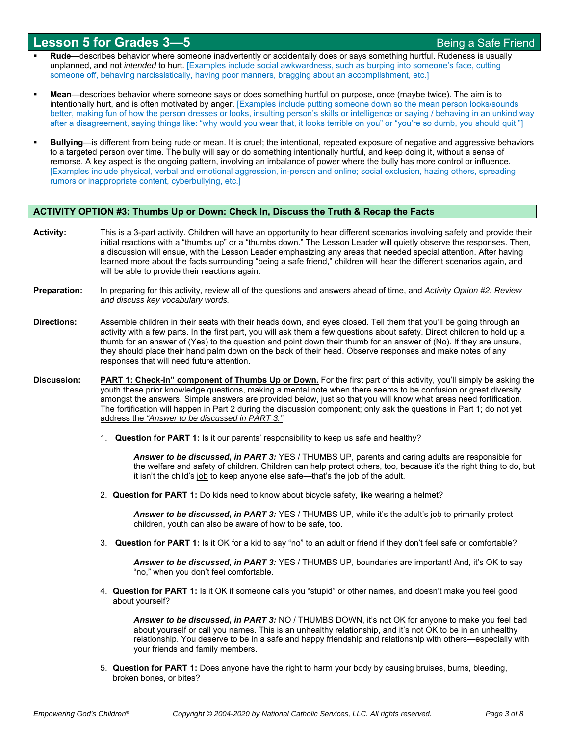- **Rude**—describes behavior where someone inadvertently or accidentally does or says something hurtful. Rudeness is usually unplanned, and not *intended* to hurt. [Examples include social awkwardness, such as burping into someone's face, cutting someone off, behaving narcissistically, having poor manners, bragging about an accomplishment, etc.]
- **Mean**—describes behavior where someone says or does something hurtful on purpose, once (maybe twice). The aim is to intentionally hurt, and is often motivated by anger. [Examples include putting someone down so the mean person looks/sounds better, making fun of how the person dresses or looks, insulting person's skills or intelligence or saying / behaving in an unkind way after a disagreement, saying things like: "why would you wear that, it looks terrible on you" or "you're so dumb, you should quit."]
- **Bullying**—is different from being rude or mean. It is cruel; the intentional, repeated exposure of negative and aggressive behaviors to a targeted person over time. The bully will say or do something intentionally hurtful, and keep doing it, without a sense of remorse. A key aspect is the ongoing pattern, involving an imbalance of power where the bully has more control or influence. [Examples include physical, verbal and emotional aggression, in-person and online; social exclusion, hazing others, spreading rumors or inappropriate content, cyberbullying, etc.]

#### **ACTIVITY OPTION #3: Thumbs Up or Down: Check In, Discuss the Truth & Recap the Facts**

- **Activity:** This is a 3-part activity. Children will have an opportunity to hear different scenarios involving safety and provide their initial reactions with a "thumbs up" or a "thumbs down." The Lesson Leader will quietly observe the responses. Then, a discussion will ensue, with the Lesson Leader emphasizing any areas that needed special attention. After having learned more about the facts surrounding "being a safe friend," children will hear the different scenarios again, and will be able to provide their reactions again.
- **Preparation:** In preparing for this activity, review all of the questions and answers ahead of time, and *Activity Option #2: Review and discuss key vocabulary words.*
- **Directions:** Assemble children in their seats with their heads down, and eyes closed. Tell them that you'll be going through an activity with a few parts. In the first part, you will ask them a few questions about safety. Direct children to hold up a thumb for an answer of (Yes) to the question and point down their thumb for an answer of (No). If they are unsure, they should place their hand palm down on the back of their head. Observe responses and make notes of any responses that will need future attention.
- **Discussion: PART 1: Check-in" component of Thumbs Up or Down.** For the first part of this activity, you'll simply be asking the youth these prior knowledge questions, making a mental note when there seems to be confusion or great diversity amongst the answers. Simple answers are provided below, just so that you will know what areas need fortification. The fortification will happen in Part 2 during the discussion component; only ask the questions in Part 1; do not yet address the *"Answer to be discussed in PART 3."*
	- 1. **Question for PART 1:** Is it our parents' responsibility to keep us safe and healthy?

*Answer to be discussed, in PART 3:* YES / THUMBS UP, parents and caring adults are responsible for the welfare and safety of children. Children can help protect others, too, because it's the right thing to do, but it isn't the child's job to keep anyone else safe—that's the job of the adult.

2. **Question for PART 1:** Do kids need to know about bicycle safety, like wearing a helmet?

Answer to be discussed, in PART 3: YES / THUMBS UP, while it's the adult's job to primarily protect children, youth can also be aware of how to be safe, too.

3. **Question for PART 1:** Is it OK for a kid to say "no" to an adult or friend if they don't feel safe or comfortable?

*Answer to be discussed, in PART 3:* YES / THUMBS UP, boundaries are important! And, it's OK to say "no," when you don't feel comfortable.

4. **Question for PART 1:** Is it OK if someone calls you "stupid" or other names, and doesn't make you feel good about yourself?

*Answer to be discussed, in PART 3:* NO / THUMBS DOWN, it's not OK for anyone to make you feel bad about yourself or call you names. This is an unhealthy relationship, and it's not OK to be in an unhealthy relationship. You deserve to be in a safe and happy friendship and relationship with others—especially with your friends and family members.

5. **Question for PART 1:** Does anyone have the right to harm your body by causing bruises, burns, bleeding, broken bones, or bites?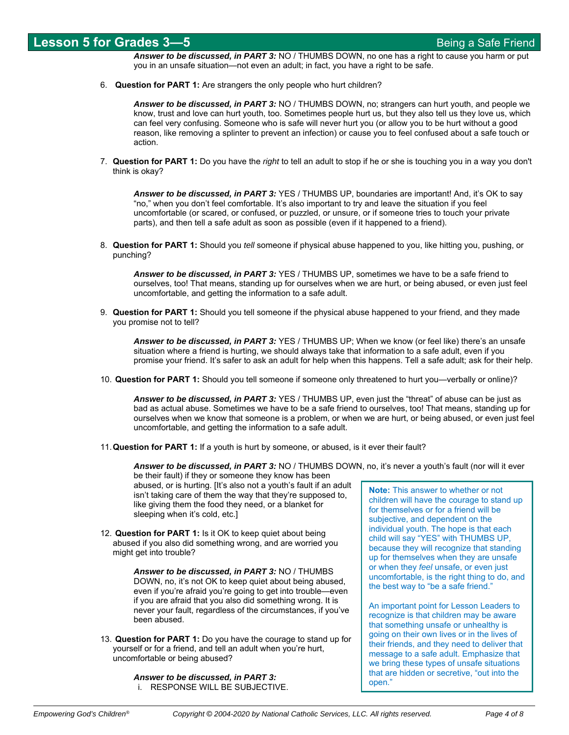*Answer to be discussed, in PART 3:* NO / THUMBS DOWN, no one has a right to cause you harm or put you in an unsafe situation—not even an adult; in fact, you have a right to be safe.

6. **Question for PART 1:** Are strangers the only people who hurt children?

*Answer to be discussed, in PART 3:* NO / THUMBS DOWN, no; strangers can hurt youth, and people we know, trust and love can hurt youth, too. Sometimes people hurt us, but they also tell us they love us, which can feel very confusing. Someone who is safe will never hurt you (or allow you to be hurt without a good reason, like removing a splinter to prevent an infection) or cause you to feel confused about a safe touch or action.

7. **Question for PART 1:** Do you have the *right* to tell an adult to stop if he or she is touching you in a way you don't think is okay?

*Answer to be discussed, in PART 3:* YES / THUMBS UP, boundaries are important! And, it's OK to say "no," when you don't feel comfortable. It's also important to try and leave the situation if you feel uncomfortable (or scared, or confused, or puzzled, or unsure, or if someone tries to touch your private parts), and then tell a safe adult as soon as possible (even if it happened to a friend).

8. **Question for PART 1:** Should you *tell* someone if physical abuse happened to you, like hitting you, pushing, or punching?

*Answer to be discussed, in PART 3:* YES / THUMBS UP, sometimes we have to be a safe friend to ourselves, too! That means, standing up for ourselves when we are hurt, or being abused, or even just feel uncomfortable, and getting the information to a safe adult.

9. **Question for PART 1:** Should you tell someone if the physical abuse happened to your friend, and they made you promise not to tell?

*Answer to be discussed, in PART 3:* YES / THUMBS UP; When we know (or feel like) there's an unsafe situation where a friend is hurting, we should always take that information to a safe adult, even if you promise your friend. It's safer to ask an adult for help when this happens. Tell a safe adult; ask for their help.

10. **Question for PART 1:** Should you tell someone if someone only threatened to hurt you—verbally or online)?

*Answer to be discussed, in PART 3:* YES / THUMBS UP, even just the "threat" of abuse can be just as bad as actual abuse. Sometimes we have to be a safe friend to ourselves, too! That means, standing up for ourselves when we know that someone is a problem, or when we are hurt, or being abused, or even just feel uncomfortable, and getting the information to a safe adult.

11. **Question for PART 1:** If a youth is hurt by someone, or abused, is it ever their fault?

*Answer to be discussed, in PART 3:* NO / THUMBS DOWN, no, it's never a youth's fault (nor will it ever

be their fault) if they or someone they know has been abused, or is hurting. [It's also not a youth's fault if an adult isn't taking care of them the way that they're supposed to, like giving them the food they need, or a blanket for sleeping when it's cold, etc.]

12. **Question for PART 1:** Is it OK to keep quiet about being abused if you also did something wrong, and are worried you might get into trouble?

> *Answer to be discussed, in PART 3:* NO / THUMBS DOWN, no, it's not OK to keep quiet about being abused, even if you're afraid you're going to get into trouble—even if you are afraid that you also did something wrong. It is never your fault, regardless of the circumstances, if you've been abused.

13. **Question for PART 1:** Do you have the courage to stand up for yourself or for a friend, and tell an adult when you're hurt, uncomfortable or being abused?

> *Answer to be discussed, in PART 3:* i. RESPONSE WILL BE SUBJECTIVE.

**Note:** This answer to whether or not children will have the courage to stand up for themselves or for a friend will be subjective, and dependent on the individual youth. The hope is that each child will say "YES" with THUMBS UP, because they will recognize that standing up for themselves when they are unsafe or when they *feel* unsafe, or even just uncomfortable, is the right thing to do, and the best way to "be a safe friend."

An important point for Lesson Leaders to recognize is that children may be aware that something unsafe or unhealthy is going on their own lives or in the lives of their friends, and they need to deliver that message to a safe adult. Emphasize that we bring these types of unsafe situations that are hidden or secretive, "out into the open."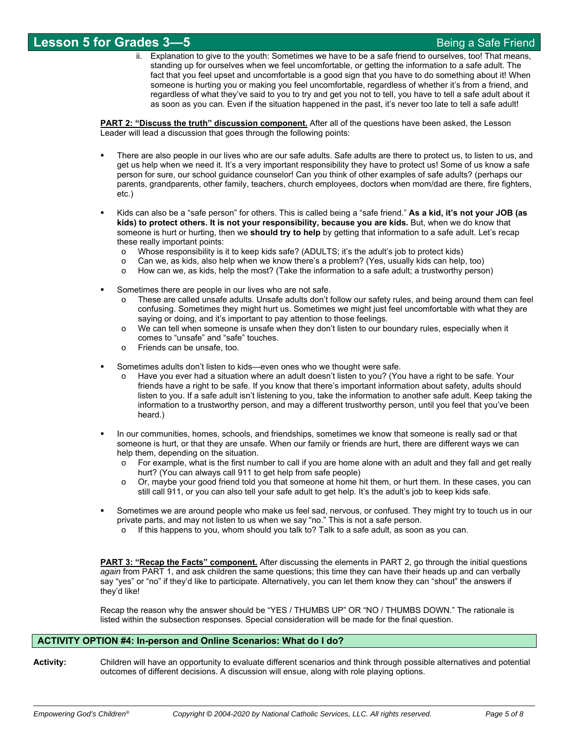ii. Explanation to give to the youth: Sometimes we have to be a safe friend to ourselves, too! That means, standing up for ourselves when we feel uncomfortable, or getting the information to a safe adult. The fact that you feel upset and uncomfortable is a good sign that you have to do something about it! When someone is hurting you or making you feel uncomfortable, regardless of whether it's from a friend, and regardless of what they've said to you to try and get you not to tell, you have to tell a safe adult about it as soon as you can. Even if the situation happened in the past, it's never too late to tell a safe adult!

**PART 2: "Discuss the truth" discussion component.** After all of the questions have been asked, the Lesson Leader will lead a discussion that goes through the following points:

- There are also people in our lives who are our safe adults. Safe adults are there to protect us, to listen to us, and get us help when we need it. It's a very important responsibility they have to protect us! Some of us know a safe person for sure, our school guidance counselor! Can you think of other examples of safe adults? (perhaps our parents, grandparents, other family, teachers, church employees, doctors when mom/dad are there, fire fighters, etc.)
- Kids can also be a "safe person" for others. This is called being a "safe friend." **As a kid, it's not your JOB (as kids) to protect others. It is not your responsibility, because you are kids.** But, when we do know that someone is hurt or hurting, then we **should try to help** by getting that information to a safe adult. Let's recap these really important points:
	- o Whose responsibility is it to keep kids safe? (ADULTS; it's the adult's job to protect kids)
	- o Can we, as kids, also help when we know there's a problem? (Yes, usually kids can help, too)
	- o How can we, as kids, help the most? (Take the information to a safe adult; a trustworthy person)
- Sometimes there are people in our lives who are not safe.
	- These are called unsafe adults. Unsafe adults don't follow our safety rules, and being around them can feel confusing. Sometimes they might hurt us. Sometimes we might just feel uncomfortable with what they are saying or doing, and it's important to pay attention to those feelings.
	- $\circ$  We can tell when someone is unsafe when they don't listen to our boundary rules, especially when it comes to "unsafe" and "safe" touches.
	- o Friends can be unsafe, too.
- Sometimes adults don't listen to kids—even ones who we thought were safe.
	- Have you ever had a situation where an adult doesn't listen to you? (You have a right to be safe. Your friends have a right to be safe. If you know that there's important information about safety, adults should listen to you. If a safe adult isn't listening to you, take the information to another safe adult. Keep taking the information to a trustworthy person, and may a different trustworthy person, until you feel that you've been heard.)
- In our communities, homes, schools, and friendships, sometimes we know that someone is really sad or that someone is hurt, or that they are unsafe. When our family or friends are hurt, there are different ways we can help them, depending on the situation.
	- $\circ$  For example, what is the first number to call if you are home alone with an adult and they fall and get really hurt? (You can always call 911 to get help from safe people)
	- o Or, maybe your good friend told you that someone at home hit them, or hurt them. In these cases, you can still call 911, or you can also tell your safe adult to get help. It's the adult's job to keep kids safe.
- Sometimes we are around people who make us feel sad, nervous, or confused. They might try to touch us in our private parts, and may not listen to us when we say "no." This is not a safe person.
	- o If this happens to you, whom should you talk to? Talk to a safe adult, as soon as you can.

**PART 3: "Recap the Facts" component.** After discussing the elements in PART 2, go through the initial questions *again* from PART 1, and ask children the same questions; this time they can have their heads up and can verbally say "yes" or "no" if they'd like to participate. Alternatively, you can let them know they can "shout" the answers if they'd like!

Recap the reason why the answer should be "YES / THUMBS UP" OR "NO / THUMBS DOWN." The rationale is listed within the subsection responses. Special consideration will be made for the final question.

#### **ACTIVITY OPTION #4: In-person and Online Scenarios: What do I do?**

**Activity:** Children will have an opportunity to evaluate different scenarios and think through possible alternatives and potential outcomes of different decisions. A discussion will ensue, along with role playing options.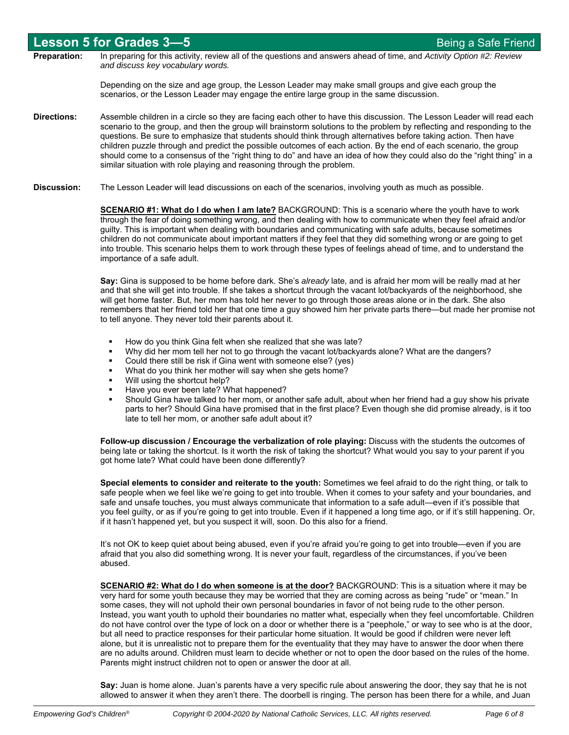|                     | <b>Lesson 5 for Grades 3-5</b>                                                                                                                                                                                                                                                                                                                                                                                                                                                                                                                                                                                                                                                                                | Being a Safe Friend |
|---------------------|---------------------------------------------------------------------------------------------------------------------------------------------------------------------------------------------------------------------------------------------------------------------------------------------------------------------------------------------------------------------------------------------------------------------------------------------------------------------------------------------------------------------------------------------------------------------------------------------------------------------------------------------------------------------------------------------------------------|---------------------|
| <b>Preparation:</b> | In preparing for this activity, review all of the questions and answers ahead of time, and Activity Option #2: Review<br>and discuss key vocabulary words.                                                                                                                                                                                                                                                                                                                                                                                                                                                                                                                                                    |                     |
|                     | Depending on the size and age group, the Lesson Leader may make small groups and give each group the<br>scenarios, or the Lesson Leader may engage the entire large group in the same discussion.                                                                                                                                                                                                                                                                                                                                                                                                                                                                                                             |                     |
| <b>Directions:</b>  | Assemble children in a circle so they are facing each other to have this discussion. The Lesson Leader will read each<br>scenario to the group, and then the group will brainstorm solutions to the problem by reflecting and responding to the<br>questions. Be sure to emphasize that students should think through alternatives before taking action. Then have<br>children puzzle through and predict the possible outcomes of each action. By the end of each scenario, the group<br>should come to a consensus of the "right thing to do" and have an idea of how they could also do the "right thing" in a<br>similar situation with role playing and reasoning through the problem.                   |                     |
| <b>Discussion:</b>  | The Lesson Leader will lead discussions on each of the scenarios, involving youth as much as possible.                                                                                                                                                                                                                                                                                                                                                                                                                                                                                                                                                                                                        |                     |
|                     | <b>SCENARIO #1: What do I do when I am late?</b> BACKGROUND: This is a scenario where the youth have to work<br>through the fear of doing something wrong, and then dealing with how to communicate when they feel afraid and/or<br>guilty. This is important when dealing with boundaries and communicating with safe adults, because sometimes<br>children do not communicate about important matters if they feel that they did something wrong or are going to get<br>into trouble. This scenario helps them to work through these types of feelings ahead of time, and to understand the<br>importance of a safe adult.                                                                                  |                     |
|                     | Say: Gina is supposed to be home before dark. She's already late, and is afraid her mom will be really mad at her<br>and that she will get into trouble. If she takes a shortcut through the vacant lot/backyards of the neighborhood, she<br>will get home faster. But, her mom has told her never to go through those areas alone or in the dark. She also<br>remembers that her friend told her that one time a guy showed him her private parts there—but made her promise not<br>to tell anyone. They never told their parents about it.                                                                                                                                                                 |                     |
|                     | How do you think Gina felt when she realized that she was late?<br>٠<br>Why did her mom tell her not to go through the vacant lot/backyards alone? What are the dangers?<br>٠<br>Could there still be risk if Gina went with someone else? (yes)<br>٠<br>What do you think her mother will say when she gets home?<br>٠<br>Will using the shortcut help?<br>٠<br>Have you ever been late? What happened?<br>٠<br>Should Gina have talked to her mom, or another safe adult, about when her friend had a guy show his private<br>٠<br>parts to her? Should Gina have promised that in the first place? Even though she did promise already, is it too<br>late to tell her mom, or another safe adult about it? |                     |

**Follow-up discussion / Encourage the verbalization of role playing:** Discuss with the students the outcomes of being late or taking the shortcut. Is it worth the risk of taking the shortcut? What would you say to your parent if you got home late? What could have been done differently?

**Special elements to consider and reiterate to the youth:** Sometimes we feel afraid to do the right thing, or talk to safe people when we feel like we're going to get into trouble. When it comes to your safety and your boundaries, and safe and unsafe touches, you must always communicate that information to a safe adult—even if it's possible that you feel guilty, or as if you're going to get into trouble. Even if it happened a long time ago, or if it's still happening. Or, if it hasn't happened yet, but you suspect it will, soon. Do this also for a friend.

It's not OK to keep quiet about being abused, even if you're afraid you're going to get into trouble—even if you are afraid that you also did something wrong. It is never your fault, regardless of the circumstances, if you've been abused.

**SCENARIO #2: What do I do when someone is at the door?** BACKGROUND: This is a situation where it may be very hard for some youth because they may be worried that they are coming across as being "rude" or "mean." In some cases, they will not uphold their own personal boundaries in favor of not being rude to the other person. Instead, you want youth to uphold their boundaries no matter what, especially when they feel uncomfortable. Children do not have control over the type of lock on a door or whether there is a "peephole," or way to see who is at the door, but all need to practice responses for their particular home situation. It would be good if children were never left alone, but it is unrealistic not to prepare them for the eventuality that they may have to answer the door when there are no adults around. Children must learn to decide whether or not to open the door based on the rules of the home. Parents might instruct children not to open or answer the door at all.

**Say:** Juan is home alone. Juan's parents have a very specific rule about answering the door, they say that he is not allowed to answer it when they aren't there. The doorbell is ringing. The person has been there for a while, and Juan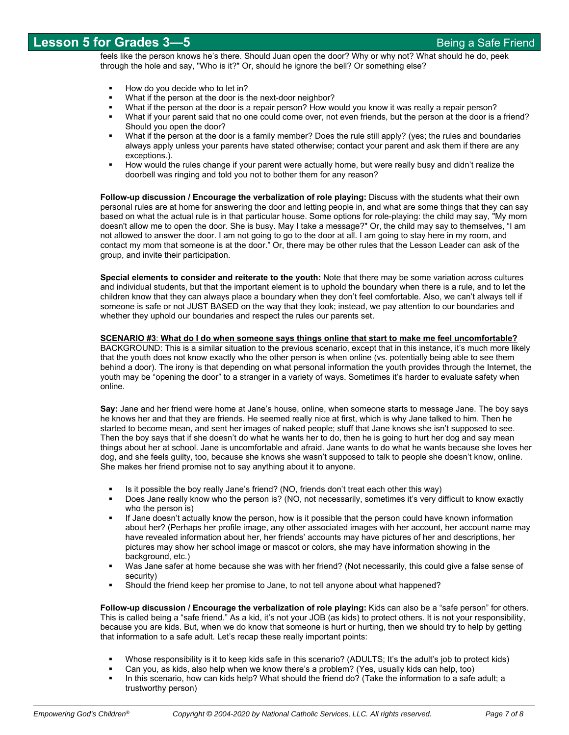feels like the person knows he's there. Should Juan open the door? Why or why not? What should he do, peek through the hole and say, "Who is it?" Or, should he ignore the bell? Or something else?

- How do you decide who to let in?
- What if the person at the door is the next-door neighbor?
- What if the person at the door is a repair person? How would you know it was really a repair person?
- What if your parent said that no one could come over, not even friends, but the person at the door is a friend? Should you open the door?
- What if the person at the door is a family member? Does the rule still apply? (yes; the rules and boundaries always apply unless your parents have stated otherwise; contact your parent and ask them if there are any exceptions.).
- How would the rules change if your parent were actually home, but were really busy and didn't realize the doorbell was ringing and told you not to bother them for any reason?

**Follow-up discussion / Encourage the verbalization of role playing:** Discuss with the students what their own personal rules are at home for answering the door and letting people in, and what are some things that they can say based on what the actual rule is in that particular house. Some options for role-playing: the child may say, "My mom doesn't allow me to open the door. She is busy. May I take a message?" Or, the child may say to themselves, "I am not allowed to answer the door. I am not going to go to the door at all. I am going to stay here in my room, and contact my mom that someone is at the door." Or, there may be other rules that the Lesson Leader can ask of the group, and invite their participation.

**Special elements to consider and reiterate to the youth:** Note that there may be some variation across cultures and individual students, but that the important element is to uphold the boundary when there is a rule, and to let the children know that they can always place a boundary when they don't feel comfortable. Also, we can't always tell if someone is safe or not JUST BASED on the way that they look; instead, we pay attention to our boundaries and whether they uphold our boundaries and respect the rules our parents set.

#### **SCENARIO #3**: **What do I do when someone says things online that start to make me feel uncomfortable?**

BACKGROUND: This is a similar situation to the previous scenario, except that in this instance, it's much more likely that the youth does not know exactly who the other person is when online (vs. potentially being able to see them behind a door). The irony is that depending on what personal information the youth provides through the Internet, the youth may be "opening the door" to a stranger in a variety of ways. Sometimes it's harder to evaluate safety when online.

**Say:** Jane and her friend were home at Jane's house, online, when someone starts to message Jane. The boy says he knows her and that they are friends. He seemed really nice at first, which is why Jane talked to him. Then he started to become mean, and sent her images of naked people; stuff that Jane knows she isn't supposed to see. Then the boy says that if she doesn't do what he wants her to do, then he is going to hurt her dog and say mean things about her at school. Jane is uncomfortable and afraid. Jane wants to do what he wants because she loves her dog, and she feels guilty, too, because she knows she wasn't supposed to talk to people she doesn't know, online. She makes her friend promise not to say anything about it to anyone.

- Is it possible the boy really Jane's friend? (NO, friends don't treat each other this way)
- Does Jane really know who the person is? (NO, not necessarily, sometimes it's very difficult to know exactly who the person is)
- If Jane doesn't actually know the person, how is it possible that the person could have known information about her? (Perhaps her profile image, any other associated images with her account, her account name may have revealed information about her, her friends' accounts may have pictures of her and descriptions, her pictures may show her school image or mascot or colors, she may have information showing in the background, etc.)
- Was Jane safer at home because she was with her friend? (Not necessarily, this could give a false sense of security)
- Should the friend keep her promise to Jane, to not tell anyone about what happened?

**Follow-up discussion / Encourage the verbalization of role playing:** Kids can also be a "safe person" for others. This is called being a "safe friend." As a kid, it's not your JOB (as kids) to protect others. It is not your responsibility, because you are kids. But, when we do know that someone is hurt or hurting, then we should try to help by getting that information to a safe adult. Let's recap these really important points:

- Whose responsibility is it to keep kids safe in this scenario? (ADULTS; It's the adult's job to protect kids)
- Can you, as kids, also help when we know there's a problem? (Yes, usually kids can help, too)
- In this scenario, how can kids help? What should the friend do? (Take the information to a safe adult; a trustworthy person)